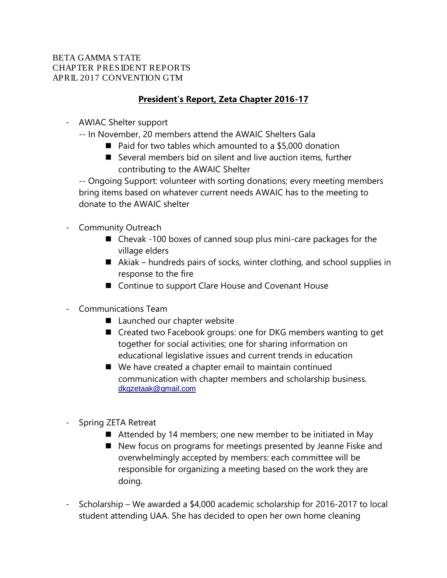#### BETA GAMMA STATE CHAPTER PRESIDENT REPORTS APRIL 2017 CONVENTION GTM

### **President's Report, Zeta Chapter 2016-17**

- AWIAC Shelter support
	- -- In November, 20 members attend the AWAIC Shelters Gala
		- Paid for two tables which amounted to a \$5,000 donation
		- $\blacksquare$  Several members bid on silent and live auction items, further contributing to the AWAIC Shelter

-- Ongoing Support: volunteer with sorting donations; every meeting members bring items based on whatever current needs AWAIC has to the meeting to donate to the AWAIC shelter

- Community Outreach
	- Chevak -100 boxes of canned soup plus mini-care packages for the village elders
	- $\blacksquare$  Akiak hundreds pairs of socks, winter clothing, and school supplies in response to the fire
	- Continue to support Clare House and Covenant House
- Communications Team
	- Launched our chapter website
	- Created two Facebook groups: one for DKG members wanting to get together for social activities; one for sharing information on educational legislative issues and current trends in education
	- We have created a chapter email to maintain continued communication with chapter members and scholarship business. [dkgzetaak@gmail.com](mailto:dkgzetaak@gmail.com)
- Spring ZETA Retreat
	- Attended by 14 members; one new member to be initiated in May
	- New focus on programs for meetings presented by Jeanne Fiske and overwhelmingly accepted by members: each committee will be responsible for organizing a meeting based on the work they are doing.
- Scholarship We awarded a \$4,000 academic scholarship for 2016-2017 to local student attending UAA. She has decided to open her own home cleaning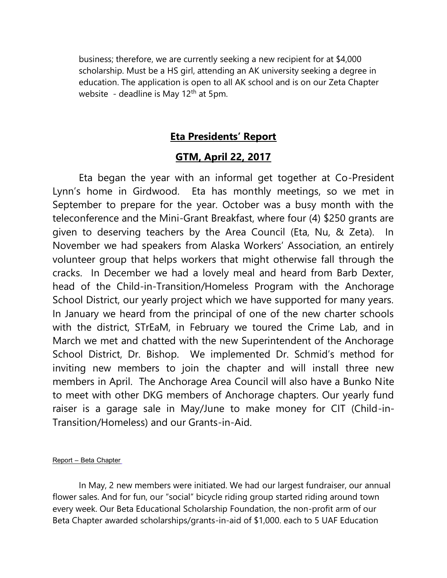business; therefore, we are currently seeking a new recipient for at \$4,000 scholarship. Must be a HS girl, attending an AK university seeking a degree in education. The application is open to all AK school and is on our Zeta Chapter website - deadline is May  $12<sup>th</sup>$  at 5pm.

### **Eta Presidents' Report**

### **GTM, April 22, 2017**

Eta began the year with an informal get together at Co-President Lynn's home in Girdwood. Eta has monthly meetings, so we met in September to prepare for the year. October was a busy month with the teleconference and the Mini-Grant Breakfast, where four (4) \$250 grants are given to deserving teachers by the Area Council (Eta, Nu, & Zeta). In November we had speakers from Alaska Workers' Association, an entirely volunteer group that helps workers that might otherwise fall through the cracks. In December we had a lovely meal and heard from Barb Dexter, head of the Child-in-Transition/Homeless Program with the Anchorage School District, our yearly project which we have supported for many years. In January we heard from the principal of one of the new charter schools with the district, STrEaM, in February we toured the Crime Lab, and in March we met and chatted with the new Superintendent of the Anchorage School District, Dr. Bishop. We implemented Dr. Schmid's method for inviting new members to join the chapter and will install three new members in April. The Anchorage Area Council will also have a Bunko Nite to meet with other DKG members of Anchorage chapters. Our yearly fund raiser is a garage sale in May/June to make money for CIT (Child-in-Transition/Homeless) and our Grants-in-Aid.

#### Report – Beta Chapter

In May, 2 new members were initiated. We had our largest fundraiser, our annual flower sales. And for fun, our "social" bicycle riding group started riding around town every week. Our Beta Educational Scholarship Foundation, the non-profit arm of our Beta Chapter awarded scholarships/grants-in-aid of \$1,000. each to 5 UAF Education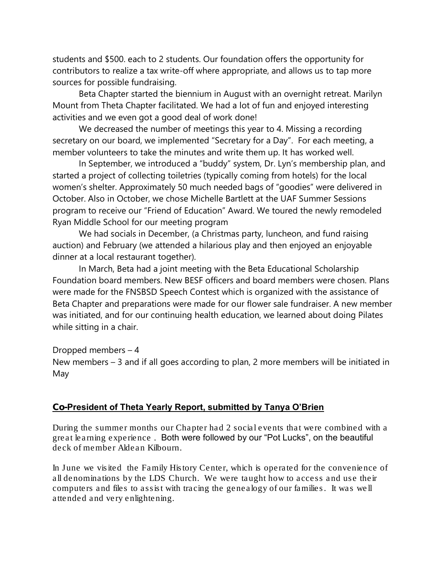students and \$500. each to 2 students. Our foundation offers the opportunity for contributors to realize a tax write-off where appropriate, and allows us to tap more sources for possible fundraising.

Beta Chapter started the biennium in August with an overnight retreat. Marilyn Mount from Theta Chapter facilitated. We had a lot of fun and enjoyed interesting activities and we even got a good deal of work done!

We decreased the number of meetings this year to 4. Missing a recording secretary on our board, we implemented "Secretary for a Day". For each meeting, a member volunteers to take the minutes and write them up. It has worked well.

In September, we introduced a "buddy" system, Dr. Lyn's membership plan, and started a project of collecting toiletries (typically coming from hotels) for the local women's shelter. Approximately 50 much needed bags of "goodies" were delivered in October. Also in October, we chose Michelle Bartlett at the UAF Summer Sessions program to receive our "Friend of Education" Award. We toured the newly remodeled Ryan Middle School for our meeting program

We had socials in December, (a Christmas party, luncheon, and fund raising auction) and February (we attended a hilarious play and then enjoyed an enjoyable dinner at a local restaurant together).

In March, Beta had a joint meeting with the Beta Educational Scholarship Foundation board members. New BESF officers and board members were chosen. Plans were made for the FNSBSD Speech Contest which is organized with the assistance of Beta Chapter and preparations were made for our flower sale fundraiser. A new member was initiated, and for our continuing health education, we learned about doing Pilates while sitting in a chair.

Dropped members – 4 New members – 3 and if all goes according to plan, 2 more members will be initiated in May

#### Co-President of Theta Yearly Report, submitted by Tanya O'Brien

During the summer months our Chapter had 2 social events that were combined with a great learning experience . Both were followed by our "Pot Lucks", on the beautiful deck of member Aldean Kilbourn.

In June we visited the Family History Center, which is operated for the convenience of all denominations by the LDS Church. We were taught how to access and use their computers and files to assist with tracing the genealogy of our families. It was well attended and very enlightening.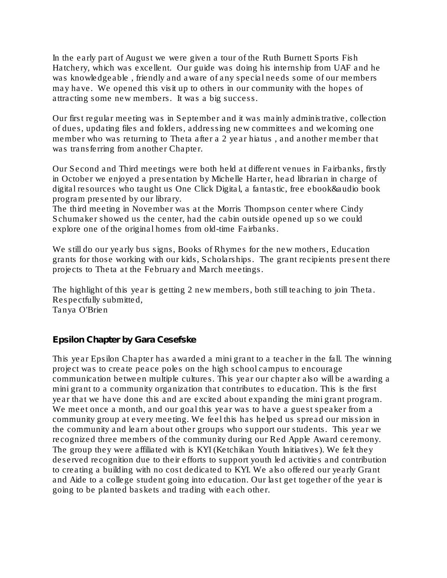In the early part of August we were given a tour of the Ruth Burnett Sports Fish Hatchery, which was excellent. Our guide was doing his internship from UAF and he was knowledgeable , friendly and aware of any special needs some of our members may have. We opened this visit up to others in our community with the hopes of attracting some new members. It was a big success.

Our first regular meeting was in September and it was mainly administrative, collection of dues, updating files and folders, addressing new committees and welcoming one member who was returning to Theta after a 2 year hiatus , and another member that was transferring from another Chapter.

Our Second and Third meetings were both held at different venues in Fairbanks, firstly in October we enjoyed a presentation by Michelle Harter, head librarian in charge of digital resources who taught us One Click Digital, a fantastic, free ebook&audio book program presented by our library.

The third meeting in November was at the Morris Thompson center where Cindy Schumaker showed us the center, had the cabin outside opened up so we could explore one of the original homes from old-time Fairbanks.

We still do our yearly bus signs, Books of Rhymes for the new mothers, Education grants for those working with our kids, Scholarships. The grant recipients present there projects to Theta at the February and March meetings.

The highlight of this year is getting 2 new members, both still teaching to join Theta. Respectfully submitted, Tanya O'Brien

Epsilon Chapter by Gara Cesefske

This year Epsilon Chapter has awarded a mini grant to a teacher in the fall. The winning project was to create peace poles on the high school campus to encourage communication between multiple cultures. This year our chapter also will be awarding a mini grant to a community organization that contributes to education. This is the first year that we have done this and are excited about expanding the mini grant program. We meet once a month, and our goal this year was to have a guest speaker from a community group at every meeting. We feel this has helped us spread our mission in the community and learn about other groups who support our students. This year we recognized three members of the community during our Red Apple Award ceremony. The group they were affiliated with is KYI (Ketchikan Youth Initiatives). We felt they deserved recognition due to their efforts to support youth led activities and contribution to creating a building with no cost dedicated to KYI. We also offered our yearly Grant and Aide to a college student going into education. Our last get together of the year is going to be planted baskets and trading with each other.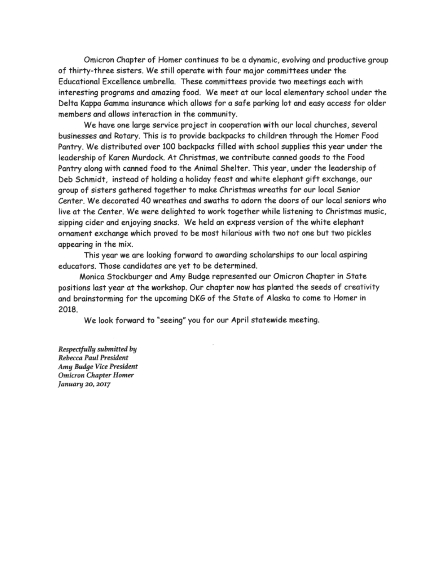Omicron Chapter of Homer continues to be a dynamic, evolving and productive group of thirty-three sisters. We still operate with four major committees under the Educational Excellence umbrella. These committees provide two meetings each with interesting programs and amazing food. We meet at our local elementary school under the Delta Kappa Gamma insurance which allows for a safe parking lot and easy access for older members and allows interaction in the community.

We have one large service project in cooperation with our local churches, several businesses and Rotary. This is to provide backpacks to children through the Homer Food Pantry. We distributed over 100 backpacks filled with school supplies this year under the leadership of Karen Murdock. At Christmas, we contribute canned goods to the Food Pantry along with canned food to the Animal Shelter. This year, under the leadership of Deb Schmidt, instead of holding a holiday feast and white elephant gift exchange, our group of sisters gathered together to make Christmas wreaths for our local Senior Center. We decorated 40 wreathes and swaths to adorn the doors of our local seniors who live at the Center. We were delighted to work together while listening to Christmas music, sipping cider and enjoying snacks. We held an express version of the white elephant ornament exchange which proved to be most hilarious with two not one but two pickles appearing in the mix.

This year we are looking forward to awarding scholarships to our local aspiring educators. Those candidates are yet to be determined.

Monica Stockburger and Amy Budge represented our Omicron Chapter in State positions last year at the workshop. Our chapter now has planted the seeds of creativity and brainstorming for the upcoming DKG of the State of Alaska to come to Homer in 2018.

We look forward to "seeing" you for our April statewide meeting.

Respectfully submitted by Rebecca Paul President Amy Budge Vice President **Omicron Chapter Homer** January 20, 2017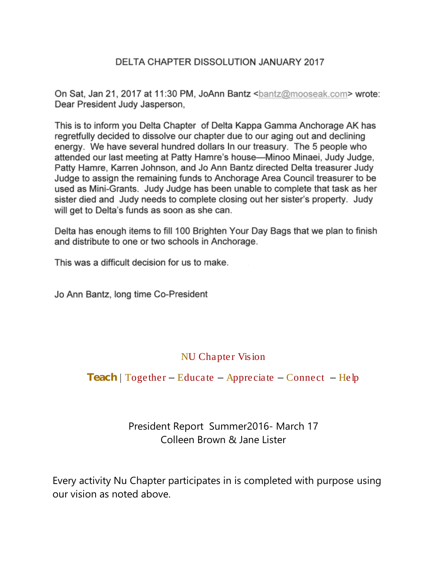### DELTA CHAPTER DISSOLUTION JANUARY 2017

On Sat, Jan 21, 2017 at 11:30 PM, JoAnn Bantz <bantz@mooseak.com> wrote: Dear President Judy Jasperson,

This is to inform you Delta Chapter of Delta Kappa Gamma Anchorage AK has regretfully decided to dissolve our chapter due to our aging out and declining energy. We have several hundred dollars In our treasury. The 5 people who attended our last meeting at Patty Hamre's house—Minoo Minaei, Judy Judge, Patty Hamre, Karren Johnson, and Jo Ann Bantz directed Delta treasurer Judy Judge to assign the remaining funds to Anchorage Area Council treasurer to be used as Mini-Grants. Judy Judge has been unable to complete that task as her sister died and Judy needs to complete closing out her sister's property. Judy will get to Delta's funds as soon as she can.

Delta has enough items to fill 100 Brighten Your Day Bags that we plan to finish and distribute to one or two schools in Anchorage.

This was a difficult decision for us to make.

Jo Ann Bantz, long time Co-President

### NU Chapter Vision

### $Teach$  | Together – Educate – Appreciate – Connect – Help

# President Report Summer2016- March 17 Colleen Brown & Jane Lister

Every activity Nu Chapter participates in is completed with purpose using our vision as noted above.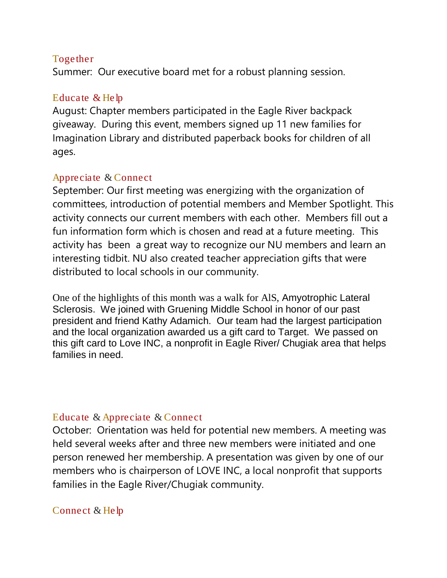## Together

Summer: Our executive board met for a robust planning session.

# Educate & Help

August: Chapter members participated in the Eagle River backpack giveaway. During this event, members signed up 11 new families for Imagination Library and distributed paperback books for children of all ages.

## Appreciate & Connect

September: Our first meeting was energizing with the organization of committees, introduction of potential members and Member Spotlight. This activity connects our current members with each other. Members fill out a fun information form which is chosen and read at a future meeting. This activity has been a great way to recognize our NU members and learn an interesting tidbit. NU also created teacher appreciation gifts that were distributed to local schools in our community.

One of the highlights of this month was a walk for AlS, [Amyotrophic Lateral](http://www.alsa.org/about-als/what-is-als.html)  [Sclerosis.](http://www.alsa.org/about-als/what-is-als.html) We joined with Gruening Middle School in honor of our past president and friend Kathy Adamich. Our team had the largest participation and the local organization awarded us a gift card to Target. We passed on this gift card to Love INC, a nonprofit in Eagle River/ Chugiak area that helps families in need.

### Educate & Appreciate & Connect

October: Orientation was held for potential new members. A meeting was held several weeks after and three new members were initiated and one person renewed her membership. A presentation was given by one of our members who is chairperson of LOVE INC, a local nonprofit that supports families in the Eagle River/Chugiak community.

# Connect & Help